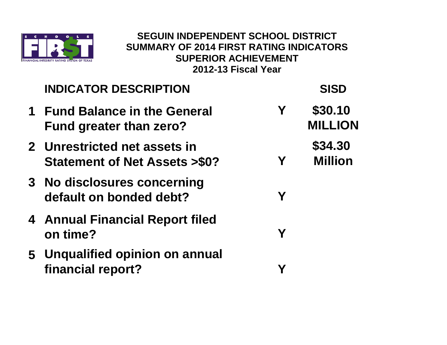

| <b>INDICATOR DESCRIPTION</b>                                            |   | <b>SISD</b>               |
|-------------------------------------------------------------------------|---|---------------------------|
| 1 Fund Balance in the General<br>Fund greater than zero?                | Y | \$30.10<br><b>MILLION</b> |
| 2 Unrestricted net assets in<br><b>Statement of Net Assets &gt;\$0?</b> | Y | \$34.30<br><b>Million</b> |
| 3 No disclosures concerning<br>default on bonded debt?                  |   |                           |
| <b>4 Annual Financial Report filed</b><br>on time?                      |   |                           |
| 5 Unqualified opinion on annual<br>financial report?                    |   |                           |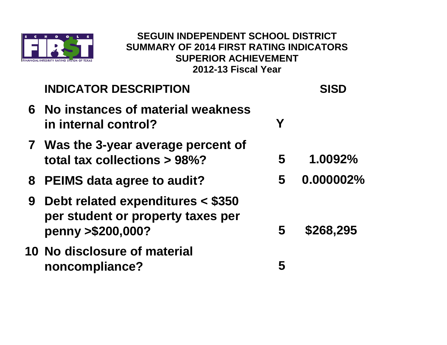

|   | <b>INDICATOR DESCRIPTION</b>                                                                 |   | <b>SISD</b> |
|---|----------------------------------------------------------------------------------------------|---|-------------|
|   | 6 No instances of material weakness<br>in internal control?                                  | Υ |             |
|   | 7 Was the 3-year average percent of<br>total tax collections > 98%?                          | 5 | 1.0092%     |
| 8 | <b>PEIMS data agree to audit?</b>                                                            | 5 | 0.000002%   |
| 9 | Debt related expenditures < \$350<br>per student or property taxes per<br>penny > \$200,000? | 5 | \$268,295   |
|   | <b>10 No disclosure of material</b><br>noncompliance?                                        | 5 |             |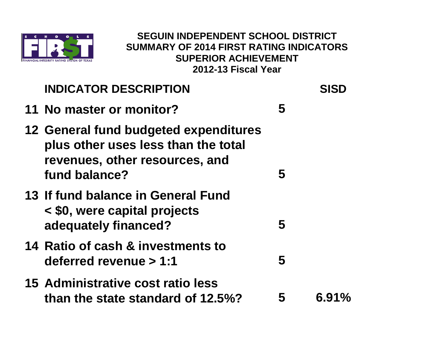

| <b>INDICATOR DESCRIPTION</b>                                                                                                           |   | <b>SISD</b> |
|----------------------------------------------------------------------------------------------------------------------------------------|---|-------------|
| 11 No master or monitor?                                                                                                               | 5 |             |
| <b>12 General fund budgeted expenditures</b><br>plus other uses less than the total<br>revenues, other resources, and<br>fund balance? | 5 |             |
| <b>13 If fund balance in General Fund</b><br>< \$0, were capital projects<br>adequately financed?                                      | 5 |             |
| 14 Ratio of cash & investments to<br>deferred revenue > 1:1                                                                            | 5 |             |
| <b>15 Administrative cost ratio less</b><br>than the state standard of 12.5%?                                                          | 5 | $6.91\%$    |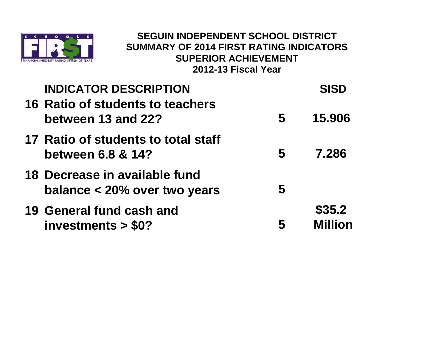

| <b>INDICATOR DESCRIPTION</b>                                  |   | <b>SISD</b>              |
|---------------------------------------------------------------|---|--------------------------|
| <b>16 Ratio of students to teachers</b><br>between 13 and 22? | 5 | 15.906                   |
| 17 Ratio of students to total staff<br>between 6.8 & 14?      | 5 | 7.286                    |
| 18 Decrease in available fund<br>balance < 20% over two years | 5 |                          |
| 19 General fund cash and<br>investments > \$0?                | 5 | \$35.2<br><b>Million</b> |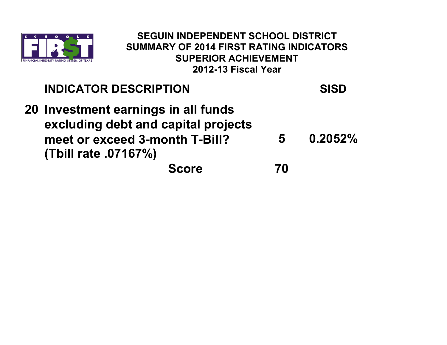

| <b>INDICATOR DESCRIPTION</b>                                                                                                         |    | <b>SISD</b> |
|--------------------------------------------------------------------------------------------------------------------------------------|----|-------------|
| 20 Investment earnings in all funds<br>excluding debt and capital projects<br>meet or exceed 3-month T-Bill?<br>(Tbill rate .07167%) | 5  | 0.2052%     |
| icore                                                                                                                                | 70 |             |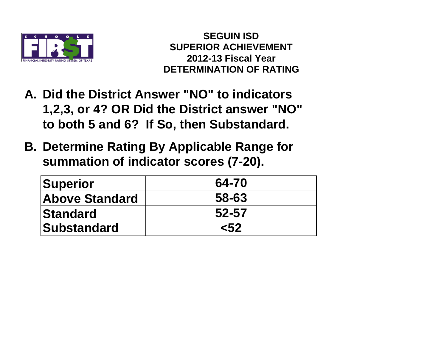

**SEGUIN ISDSUPERIOR ACHIEVEMENT2012-13 Fiscal YearDETERMINATION OF RATING**

- **A. Did the District Answer "NO" to indicators1,2,3, or 4? OR Did the District answer "NO" to both 5 and 6? If So, then Substandard.**
- **B. Determine Rating By Applicable Range for summation of indicator scores (7-20).**

| <b>Superior</b>       | 64-70 |
|-----------------------|-------|
| <b>Above Standard</b> | 58-63 |
| <b>Standard</b>       | 52-57 |
| <b>Substandard</b>    | < 52  |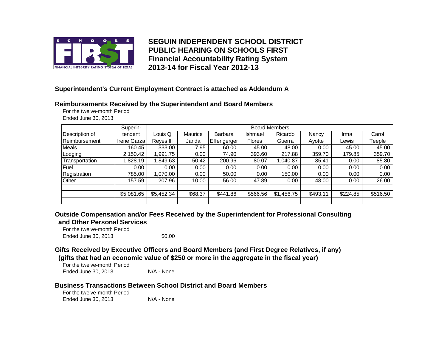

**SEGUIN INDEPENDENT SCHOOL DISTRICTPUBLIC HEARING ON SCHOOLS FIRSTFinancial Accountability Rating System 2013-14 for Fiscal Year 2012-13**

## **Superintendent's Current Employment Contract is attached as Addendum A**

### **Reimbursements Received by the Superintendent and Board Members**

|                | Superin-    | <b>Board Members</b> |         |                   |                |            |          |          |          |
|----------------|-------------|----------------------|---------|-------------------|----------------|------------|----------|----------|----------|
| Description of | tendent     | Louis Q              | Maurice | <b>Barbara</b>    | <b>Ishmael</b> | Ricardo    | Nancy    | Irma     | Carol    |
| Reimbursement  | Irene Garza | Reyes III            | Janda   | Effengergerl      | <b>Flores</b>  | Guerra     | Ayotte   | Lewis    | Teeple   |
| Meals          | 160.45      | 333.00               | 7.95    | 60.00             | 45.00          | 48.00      | 0.00     | 45.00    | 45.00    |
| Lodging        | 2,150.42    | ,991.75              | 0.00    | 74.90             | 393.60         | 217.88     | 359.70   | 179.85   | 359.70   |
| Transportation | l.828.19    | 1.849.63             | 50.42   | 200.96            | 80.07          | 1.040.87   | 85.41    | 0.00     | 85.80    |
| Fuel           | 0.00        | 0.00                 | 0.00    | 0.00 <sub>1</sub> | 0.00           | 0.00       | 0.00     | 0.00     | 0.00     |
| Registration   | 785.00      | 1.070.00             | 0.00    | 50.00             | 0.00           | 150.00     | 0.00     | 0.00     | 0.00     |
| Other          | 157.59      | 207.96               | 10.00   | 56.00             | 47.89          | 0.00       | 48.00    | 0.00     | 26.00    |
|                |             |                      |         |                   |                |            |          |          |          |
|                | \$5,081.65  | \$5,452.34           | \$68.37 | \$441.86          | \$566.56       | \$1,456.75 | \$493.11 | \$224.85 | \$516.50 |
|                |             |                      |         |                   |                |            |          |          |          |

For the twelve-month PeriodEnded June 30, 2013

**Outside Compensation and/or Fees Received by the Superintendent for Professional Consulting and Other Personal Services**

For the twelve-month PeriodEnded June 30, 2013 \$0.00

**Gifts Received by Executive Officers and Board Members (and First Degree Relatives, if any) (gifts that had an economic value of \$250 or more in the aggregate in the fiscal year)**

For the twelve-month PeriodEnded June 30, 2013 N/A - None

## **Business Transactions Between School District and Board Members**

For the twelve-month PeriodEnded June 30, 2013 N/A - None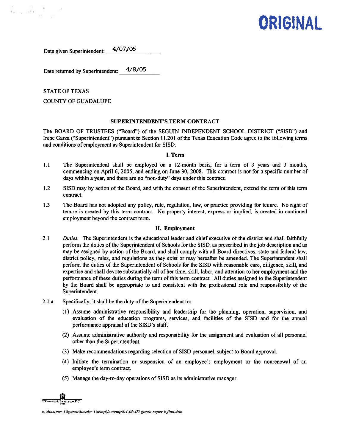# ORIGINAL

4/07/05 Date given Superintendent:

Date returned by Superintendent: 4/8/05

**STATE OF TEXAS** 

 $\label{eq:3.1} \begin{smallmatrix} 1&&&&&2\\ &\ddots&&&\ddots&\ddots&\ddots\\ &&&\ddots&\ddots&\ddots&\ddots \end{smallmatrix}$ 

**COUNTY OF GUADALUPE** 

#### SUPERINTENDENT'S TERM CONTRACT

The BOARD OF TRUSTEES ("Board") of the SEGUIN INDEPENDENT SCHOOL DISTRICT ("SISD") and Irene Garza ("Superintendent") pursuant to Section 11.201 of the Texas Education Code agree to the following terms and conditions of employment as Superintendent for SISD.

#### I. Term

- The Superintendent shall be employed on a 12-month basis, for a term of 3 years and 3 months,  $1.1$ commencing on April 6, 2005, and ending on June 30, 2008. This contract is not for a specific number of days within a year, and there are no "non-duty" days under this contract.
- $1.2$ SISD may by action of the Board, and with the consent of the Superintendent, extend the term of this term contract.
- $1.3$ The Board has not adopted any policy, rule, regulation, law, or practice providing for tenure. No right of tenure is created by this term contract. No property interest, express or implied, is created in continued employment beyond the contract term.

#### II. Employment

- $2.1$ Duties. The Superintendent is the educational leader and chief executive of the district and shall faithfully perform the duties of the Superintendent of Schools for the SISD, as prescribed in the job description and as may be assigned by action of the Board, and shall comply with all Board directives, state and federal law, district policy, rules, and regulations as they exist or may hereafter be amended. The Superintendent shall perform the duties of the Superintendent of Schools for the SISD with reasonable care, diligence, skill, and expertise and shall devote substantially all of her time, skill, labor, and attention to her employment and the performance of these duties during the term of this term contract. All duties assigned to the Superintendent by the Board shall be appropriate to and consistent with the professional role and responsibility of the Superintendent.
- $2.1.a$ Specifically, it shall be the duty of the Superintendent to:
	- (1) Assume administrative responsibility and leadership for the planning, operation, supervision, and evaluation of the education programs, services, and facilities of the SISD and for the annual performance appraisal of the SISD's staff.
	- (2) Assume administrative authority and responsibility for the assignment and evaluation of all personnel other than the Superintendent.
	- (3) Make recommendations regarding selection of SISD personnel, subject to Board approval.
	- (4) Initiate the termination or suspension of an employee's employment or the nonrenewal of an employee's term contract.
	- (5) Manage the day-to-day operations of SISD as its administrative manager.



c:\docume~1\igarza\locals~1\temp\fcctemp\04-06-05 garza super k fina.doc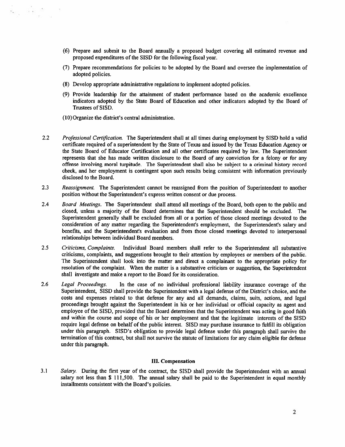- (6) Prepare and submit to the Board annually a proposed budget covering all estimated revenue and proposed expenditures of the SISD for the following fiscal year.
- (7) Prepare recommendations for policies to be adopted by the Board and oversee the implementation of adopted policies.
- (8) Develop appropriate administrative regulations to implement adopted policies.
- (9) Provide leadership for the attainment of student performance based on the academic excellence indicators adopted by the State Board of Education and other indicators adopted by the Board of Trustees of SISD.
- (10) Organize the district's central administration.

 $\mathbf{A}_{\mathbf{q}} = \mathbf{A} \mathbf{e}^{-\mathbf{q} \cdot \mathbf{q}}$ 

- $2.2$ Professional Certification. The Superintendent shall at all times during employment by SISD hold a valid certificate required of a superintendent by the State of Texas and issued by the Texas Education Agency or the State Board of Educator Certification and all other certificates required by law. The Superintendent represents that she has made written disclosure to the Board of any conviction for a felony or for any offense involving moral turpitude. The Superintendent shall also be subject to a criminal history record check, and her employment is contingent upon such results being consistent with information previously disclosed to the Board.
- $2.3$ Reassignment. The Superintendent cannot be reassigned from the position of Superintendent to another position without the Superintendent's express written consent or due process.
- $2.4$ Board Meetings. The Superintendent shall attend all meetings of the Board, both open to the public and closed, unless a majority of the Board determines that the Superintendent should be excluded. The Superintendent generally shall be excluded from all or a portion of those closed meetings devoted to the consideration of any matter regarding the Superintendent's employment, the Superintendent's salary and benefits, and the Superintendent's evaluation and from those closed meetings devoted to interpersonal relationships between individual Board members.
- $2.5$ Criticisms, Complaints. Individual Board members shall refer to the Superintendent all substantive criticisms, complaints, and suggestions brought to their attention by employees or members of the public. The Superintendent shall look into the matter and direct a complainant to the appropriate policy for resolution of the complaint. When the matter is a substantive criticism or suggestion, the Superintendent shall investigate and make a report to the Board for its consideration.
- 2.6 Legal Proceedings. In the case of no individual professional liability insurance coverage of the Superintendent, SISD shall provide the Superintendent with a legal defense of the District's choice, and the costs and expenses related to that defense for any and all demands, claims, suits, actions, and legal proceedings brought against the Superintendent in his or her individual or official capacity as agent and employee of the SISD, provided that the Board determines that the Superintendent was acting in good faith and within the course and scope of his or her employment and that the legitimate interests of the SISD require legal defense on behalf of the public interest. SISD may purchase insurance to fulfill its obligation under this paragraph. SISD's obligation to provide legal defense under this paragraph shall survive the termination of this contract, but shall not survive the statute of limitations for any claim eligible for defense under this paragraph.

#### **III.** Compensation

Salary. During the first year of the contract, the SISD shall provide the Superintendent with an annual  $3.1$ salary not less than \$ 111,500. The annual salary shall be paid to the Superintendent in equal monthly installments consistent with the Board's policies.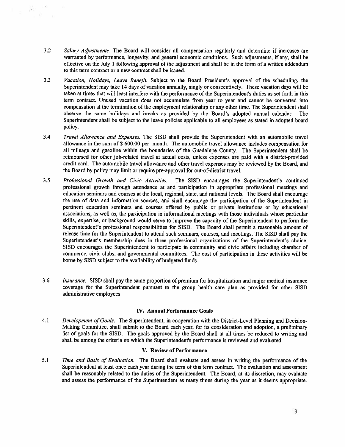$3.2$ Salary Adjustments. The Board will consider all compensation regularly and determine if increases are warranted by performance, longevity, and general economic conditions. Such adjustments, if any, shall be effective on the July 1 following approval of the adjustment and shall be in the form of a written addendum to this term contract or a new contract shall be issued.

W.  $\sim$ 

 $\widetilde{W}$ 

- $3.3$ Vacation, Holidays, Leave Benefit. Subject to the Board President's approval of the scheduling, the Superintendent may take 14 days of vacation annually, singly or consecutively. These vacation days will be taken at times that will least interfere with the performance of the Superintendent's duties as set forth in this term contract. Unused vacation does not accumulate from year to year and cannot be converted into compensation at the termination of the employment relationship or any other time. The Superintendent shall observe the same holidays and breaks as provided by the Board's adopted annual calendar. The Superintendent shall be subject to the leave policies applicable to all employees as stated in adopted board policy.
- $3.4$ Travel Allowance and Expenses. The SISD shall provide the Superintendent with an automobile travel allowance in the sum of \$ 600.00 per month. The automobile travel allowance includes compensation for all mileage and gasoline within the boundaries of the Guadalupe County. The Superintendent shall be reimbursed for other job-related travel at actual costs, unless expenses are paid with a district-provided credit card. The automobile travel allowance and other travel expenses may be reviewed by the Board, and the Board by policy may limit or require pre-approval for out-of-district travel.
- $3.5$ Professional Growth and Civic Activities. The SISD encourages the Superintendent's continued professional growth through attendance at and participation in appropriate professional meetings and education seminars and courses at the local, regional, state, and national levels. The Board shall encourage the use of data and information sources, and shall encourage the participation of the Superintendent in pertinent education seminars and courses offered by public or private institutions or by educational associations, as well as, the participation in informational meetings with those individuals whose particular skills, expertise, or background would serve to improve the capacity of the Superintendent to perform the Superintendent's professional responsibilities for SISD. The Board shall permit a reasonable amount of release time for the Superintendent to attend such seminars, courses, and meetings. The SISD shall pay the Superintendent's membership dues in three professional organizations of the Superintendent's choice. SISD encourages the Superintendent to participate in community and civic affairs including chamber of commerce, civic clubs, and governmental committees. The cost of participation in these activities will be borne by SISD subject to the availability of budgeted funds.
- $3.6$ *Insurance.* SISD shall pay the same proportion of premium for hospitalization and major medical insurance coverage for the Superintendent pursuant to the group health care plan as provided for other SISD administrative employees.

#### IV. Annual Performance Goals

 $4.1$ Development of Goals. The Superintendent, in cooperation with the District-Level Planning and Decision-Making Committee, shall submit to the Board each year, for its consideration and adoption, a preliminary list of goals for the SISD. The goals approved by the Board shall at all times be reduced to writing and shall be among the criteria on which the Superintendent's performance is reviewed and evaluated.

#### V. Review of Performance

 $5.1$ Time and Basis of Evaluation. The Board shall evaluate and assess in writing the performance of the Superintendent at least once each year during the term of this term contract. The evaluation and assessment shall be reasonably related to the duties of the Superintendent. The Board, at its discretion, may evaluate and assess the performance of the Superintendent as many times during the year as it deems appropriate.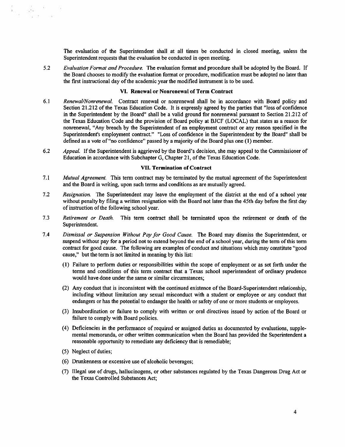The evaluation of the Superintendent shall at all times be conducted in closed meeting, unless the Superintendent requests that the evaluation be conducted in open meeting.

 $5.2$ Evaluation Format and Procedure. The evaluation format and procedure shall be adopted by the Board. If the Board chooses to modify the evaluation format or procedure, modification must be adopted no later than the first instructional day of the academic year the modified instrument is to be used.

#### VI. Renewal or Nonrenewal of Term Contract

- $6.1$ Renewal/Nonrenewal. Contract renewal or nonrenewal shall be in accordance with Board policy and Section 21.212 of the Texas Education Code. It is expressly agreed by the parties that "loss of confidence" in the Superintendent by the Board" shall be a valid ground for nonrenewal pursuant to Section 21.212 of the Texas Education Code and the provision of Board policy at BJCF (LOCAL) that states as a reason for nonrenewal, "Any breach by the Superintendent of an employment contract or any reason specified in the Superintendent's employment contract." "Loss of confidence in the Superintendent by the Board" shall be defined as a vote of "no confidence" passed by a majority of the Board plus one (1) member.
- $6.2$ Appeal. If the Superintendent is aggrieved by the Board's decision, she may appeal to the Commissioner of Education in accordance with Subchapter G, Chapter 21, of the Texas Education Code.

#### **VII. Termination of Contract**

- $7.1$ Mutual Agreement. This term contract may be terminated by the mutual agreement of the Superintendent and the Board in writing, upon such terms and conditions as are mutually agreed.
- $7.2$ Resignation. The Superintendent may leave the employment of the district at the end of a school year without penalty by filing a written resignation with the Board not later than the 45th day before the first day of instruction of the following school year.
- $7.3$ Retirement or Death. This term contract shall be terminated upon the retirement or death of the Superintendent.
- $7.4$ Dismissal or Suspension Without Pay for Good Cause. The Board may dismiss the Superintendent, or suspend without pay for a period not to extend beyond the end of a school year, during the term of this term contract for good cause. The following are examples of conduct and situations which may constitute "good cause," but the term is not limited in meaning by this list:
	- (1) Failure to perform duties or responsibilities within the scope of employment or as set forth under the terms and conditions of this term contract that a Texas school superintendent of ordinary prudence would have done under the same or similar circumstances;
	- (2) Any conduct that is inconsistent with the continued existence of the Board-Superintendent relationship, including without limitation any sexual misconduct with a student or employee or any conduct that endangers or has the potential to endanger the health or safety of one or more students or employees.
	- (3) Insubordination or failure to comply with written or oral directives issued by action of the Board or failure to comply with Board policies.
	- (4) Deficiencies in the performance of required or assigned duties as documented by evaluations, supplemental memoranda, or other written communication when the Board has provided the Superintendent a reasonable opportunity to remediate any deficiency that is remediable;
	- (5) Neglect of duties;

 $\label{eq:1.1} \begin{aligned} \mathbf{1}_{\Omega_{\text{max}}} &= \frac{1}{2} \mathbf{1}_{\Omega_{\text{max}}} \quad , \qquad \mathbf{1}_{\Omega_{\text{max}}} = \frac{1}{2} \end{aligned}$  $\mathcal{L}(\mathcal{A})$  . <br> <br> <br> The  $\mathcal{L}$ 

- (6) Drunkenness or excessive use of alcoholic beverages;
- (7) Illegal use of drugs, hallucinogens, or other substances regulated by the Texas Dangerous Drug Act or the Texas Controlled Substances Act;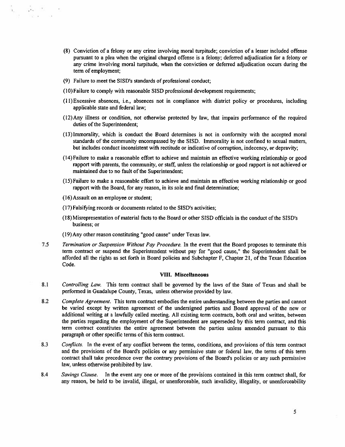- (8) Conviction of a felony or any crime involving moral turpitude; conviction of a lesser included offense pursuant to a plea when the original charged offense is a felony; deferred adjudication for a felony or any crime involving moral turpitude, when the conviction or deferred adjudication occurs during the term of employment;
- (9) Failure to meet the SISD's standards of professional conduct;
- (10) Failure to comply with reasonable SISD professional development requirements;
- (11) Excessive absences, i.e., absences not in compliance with district policy or procedures, including applicable state and federal law;
- (12) Any illness or condition, not otherwise protected by law, that impairs performance of the required duties of the Superintendent;
- (13) Immorality, which is conduct the Board determines is not in conformity with the accepted moral standards of the community encompassed by the SISD. Immorality is not confined to sexual matters, but includes conduct inconsistent with rectitude or indicative of corruption, indecency, or depravity;
- (14) Failure to make a reasonable effort to achieve and maintain an effective working relationship or good rapport with parents, the community, or staff, unless the relationship or good rapport is not achieved or maintained due to no fault of the Superintendent;
- (15) Failure to make a reasonable effort to achieve and maintain an effective working relationship or good rapport with the Board, for any reason, in its sole and final determination;
- (16) Assault on an employee or student;

 $\mathbf{I}_{\mathbf{u}} = \begin{bmatrix} \mathbf{u}^{\mathbf{u}} & \mathbf{u} \\ \mathbf{u}^{\mathbf{u}} & \mathbf{u} \end{bmatrix}$  $\Delta\rightarrow 0$ 

- (17) Falsifying records or documents related to the SISD's activities;
- (18) Misrepresentation of material facts to the Board or other SISD officials in the conduct of the SISD's business; or
- (19) Any other reason constituting "good cause" under Texas law.
- $7.5$ Termination or Suspension Without Pay Procedure. In the event that the Board proposes to terminate this term contract or suspend the Superintendent without pay for "good cause," the Superintendent shall be afforded all the rights as set forth in Board policies and Subchapter F, Chapter 21, of the Texas Education Code.

#### VIII. Miscellaneous

- 8.1 Controlling Law. This term contract shall be governed by the laws of the State of Texas and shall be performed in Guadalupe County, Texas, unless otherwise provided by law.
- 8.2 Complete Agreement. This term contract embodies the entire understanding between the parties and cannot be varied except by written agreement of the undersigned parties and Board approval of the new or additional writing at a lawfully called meeting. All existing term contracts, both oral and written, between the parties regarding the employment of the Superintendent are superseded by this term contract, and this term contract constitutes the entire agreement between the parties unless amended pursuant to this paragraph or other specific terms of this term contract.
- 8.3 Conflicts. In the event of any conflict between the terms, conditions, and provisions of this term contract and the provisions of the Board's policies or any permissive state or federal law, the terms of this term contract shall take precedence over the contrary provisions of the Board's policies or any such permissive law, unless otherwise prohibited by law.
- 8.4 Savings Clause. In the event any one or more of the provisions contained in this term contract shall, for any reason, be held to be invalid, illegal, or unenforceable, such invalidity, illegality, or unenforceability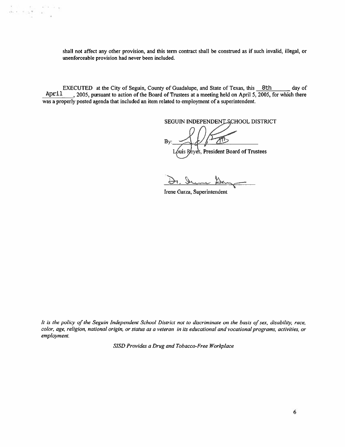shall not affect any other provision, and this term contract shall be construed as if such invalid, illegal, or unenforceable provision had never been included.

EXECUTED at the City of Seguin, County of Guadalupe, and State of Texas, this 8th day of April , 2005, pursuant to action of the Board of Trustees at a meeting held on April 5, 2005, for which there was a properly posted agenda that included an item related to employment of a superintendent.

SEGUIN INDEPENDENT SCHOOL DISTRICT

70> Bv: uis Reyes, President Board of Trustees

Irene Garza, Superintendent

It is the policy of the Seguin Independent School District not to discriminate on the basis of sex, disability, race, color, age, religion, national origin, or status as a veteran in its educational and vocational programs, activities, or employment.

SISD Provides a Drug and Tobacco-Free Workplace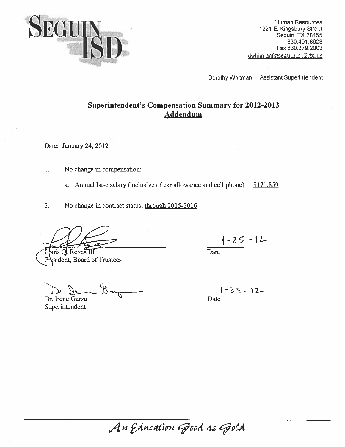

**Human Resources** 1221 E. Kingsbury Street Seguin, TX 78155 830.401.8628 Fax 830.379.2003 dwhitman@seguin.k12.tx.us

Dorothy Whitman **Assistant Superintendent** 

# **Superintendent's Compensation Summary for 2012-2013 Addendum**

Date: January 24, 2012

- No change in compensation: 1.
	- a. Annual base salary (inclusive of car allowance and cell phone) =  $$171,859$
- $2.$ No change in contract status: through 2015-2016

buis Q. Reyes III

President, Board of Trustees

Dr. Irene Garza Superintendent

 $1 - 25 - 12$ 

Date

 $-25 - 12$ Date

An Education Good as Gold